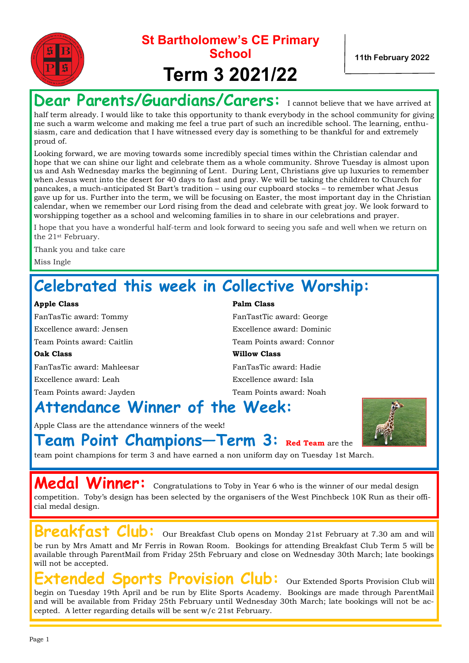

Dear Parents/Guardians/Carers: I cannot believe that we have arrived at

half term already. I would like to take this opportunity to thank everybody in the school community for giving me such a warm welcome and making me feel a true part of such an incredible school. The learning, enthusiasm, care and dedication that I have witnessed every day is something to be thankful for and extremely proud of.

Looking forward, we are moving towards some incredibly special times within the Christian calendar and hope that we can shine our light and celebrate them as a whole community. Shrove Tuesday is almost upon us and Ash Wednesday marks the beginning of Lent. During Lent, Christians give up luxuries to remember when Jesus went into the desert for 40 days to fast and pray. We will be taking the children to Church for pancakes, a much-anticipated St Bart's tradition – using our cupboard stocks – to remember what Jesus gave up for us. Further into the term, we will be focusing on Easter, the most important day in the Christian calendar, when we remember our Lord rising from the dead and celebrate with great joy. We look forward to worshipping together as a school and welcoming families in to share in our celebrations and prayer.

I hope that you have a wonderful half-term and look forward to seeing you safe and well when we return on the 21st February.

Thank you and take care Miss Ingle

## **Celebrated this week in Collective Worship:**

### **Apple Class Palm Class**

FanTasTic award: Tommy FanTastTic award: George Excellence award: Jensen Excellence award: Dominic Team Points award: Caitlin Team Points award: Connor **Oak Class Willow Class** FanTasTic award: Mahleesar FanTasTic award: Hadie

Excellence award: Leah Excellence award: Isla Team Points award: Jayden Team Points award: Noah

## **Attendance Winner of the Week:**

Apple Class are the attendance winners of the week!



**Team Point Champions—Term 3: Red Team** are the

team point champions for term 3 and have earned a non uniform day on Tuesday 1st March.

**Medal Winner:** Congratulations to Toby in Year 6 who is the winner of our medal design competition. Toby's design has been selected by the organisers of the West Pinchbeck 10K Run as their official medal design.

**Breakfast Club:** Our Breakfast Club opens on Monday 21st February at 7.30 am and will be run by Mrs Amatt and Mr Ferris in Rowan Room. Bookings for attending Breakfast Club Term 5 will be available through ParentMail from Friday 25th February and close on Wednesday 30th March; late bookings will not be accepted.

## **Extended Sports Provision Club:** Our Extended Sports Provision Club will

begin on Tuesday 19th April and be run by Elite Sports Academy. Bookings are made through ParentMail and will be available from Friday 25th February until Wednesday 30th March; late bookings will not be accepted. A letter regarding details will be sent w/c 21st February.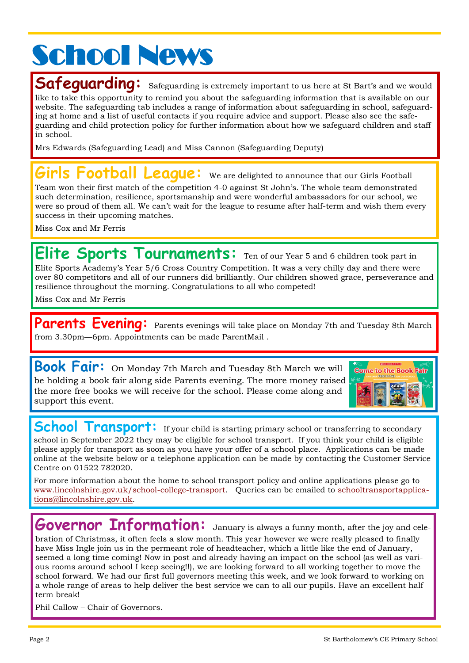# **School News**

Safequardinq: Safeguarding is extremely important to us here at St Bart's and we would like to take this opportunity to remind you about the safeguarding information that is available on our website. The safeguarding tab includes a range of information about safeguarding in school, safeguard-

ing at home and a list of useful contacts if you require advice and support. Please also see the safeguarding and child protection policy for further information about how we safeguard children and staff in school.

Mrs Edwards (Safeguarding Lead) and Miss Cannon (Safeguarding Deputy)

## Football Leaque: We are delighted to announce that our Girls Football

Team won their first match of the competition 4-0 against St John's. The whole team demonstrated such determination, resilience, sportsmanship and were wonderful ambassadors for our school, we were so proud of them all. We can't wait for the league to resume after half-term and wish them every success in their upcoming matches.

Miss Cox and Mr Ferris

**Elite Sports Tournaments:** Ten of our Year 5 and 6 children took part in Elite Sports Academy's Year 5/6 Cross Country Competition. It was a very chilly day and there were over 80 competitors and all of our runners did brilliantly. Our children showed grace, perseverance and resilience throughout the morning. Congratulations to all who competed!

Miss Cox and Mr Ferris

Parents Evening: Parents evenings will take place on Monday 7th and Tuesday 8th March from 3.30pm—6pm. Appointments can be made ParentMail .

**Book Fair:** On Monday 7th March and Tuesday 8th March we will be holding a book fair along side Parents evening. The more money raised the more free books we will receive for the school. Please come along and support this event.



**School Transport:** If your child is starting primary school or transferring to secondary school in September 2022 they may be eligible for school transport. If you think your child is eligible please apply for transport as soon as you have your offer of a school place. Applications can be made online at the website below or a telephone application can be made by contacting the Customer Service Centre on 01522 782020.

For more information about the home to school transport policy and online applications please go to [www.lincolnshire.gov.uk/school-college-transport.](http://www.lincolnshire.gov.uk/school-college-transport) Queries can be emailed to [schooltransportapplica](mailto:schooltransportapplications@lincolnshire.gov.uk)[tions@lincolnshire.gov.uk.](mailto:schooltransportapplications@lincolnshire.gov.uk)

**Governor Information:** January is always a funny month, after the joy and cele-

bration of Christmas, it often feels a slow month. This year however we were really pleased to finally have Miss Ingle join us in the permeant role of headteacher, which a little like the end of January, seemed a long time coming! Now in post and already having an impact on the school (as well as various rooms around school I keep seeing!!), we are looking forward to all working together to move the school forward. We had our first full governors meeting this week, and we look forward to working on a whole range of areas to help deliver the best service we can to all our pupils. Have an excellent half term break!

Phil Callow – Chair of Governors.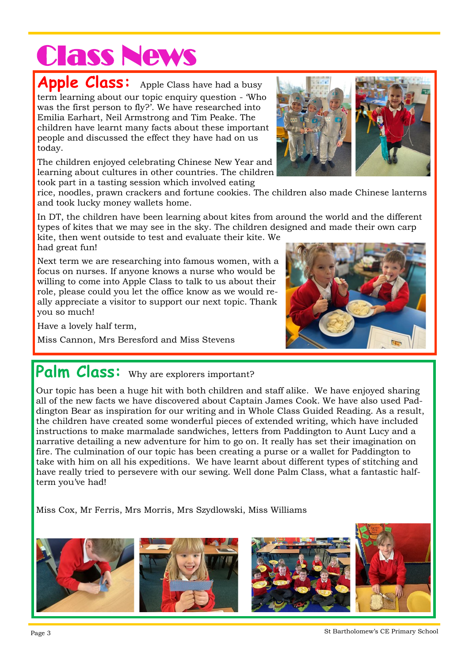# Class News

Apple Class: Apple Class have had a busy term learning about our topic enquiry question - 'Who was the first person to fly?'. We have researched into Emilia Earhart, Neil Armstrong and Tim Peake. The children have learnt many facts about these important people and discussed the effect they have had on us today.

The children enjoyed celebrating Chinese New Year and learning about cultures in other countries. The children took part in a tasting session which involved eating



rice, noodles, prawn crackers and fortune cookies. The children also made Chinese lanterns and took lucky money wallets home.

In DT, the children have been learning about kites from around the world and the different types of kites that we may see in the sky. The children designed and made their own carp

kite, then went outside to test and evaluate their kite. We had great fun!

Next term we are researching into famous women, with a focus on nurses. If anyone knows a nurse who would be willing to come into Apple Class to talk to us about their role, please could you let the office know as we would really appreciate a visitor to support our next topic. Thank you so much!

Have a lovely half term,

Miss Cannon, Mrs Beresford and Miss Stevens

## Palm Class: Why are explorers important?

Our topic has been a huge hit with both children and staff alike. We have enjoyed sharing all of the new facts we have discovered about Captain James Cook. We have also used Paddington Bear as inspiration for our writing and in Whole Class Guided Reading. As a result, the children have created some wonderful pieces of extended writing, which have included instructions to make marmalade sandwiches, letters from Paddington to Aunt Lucy and a narrative detailing a new adventure for him to go on. It really has set their imagination on fire. The culmination of our topic has been creating a purse or a wallet for Paddington to take with him on all his expeditions. We have learnt about different types of stitching and have really tried to persevere with our sewing. Well done Palm Class, what a fantastic halfterm you've had!

Miss Cox, Mr Ferris, Mrs Morris, Mrs Szydlowski, Miss Williams



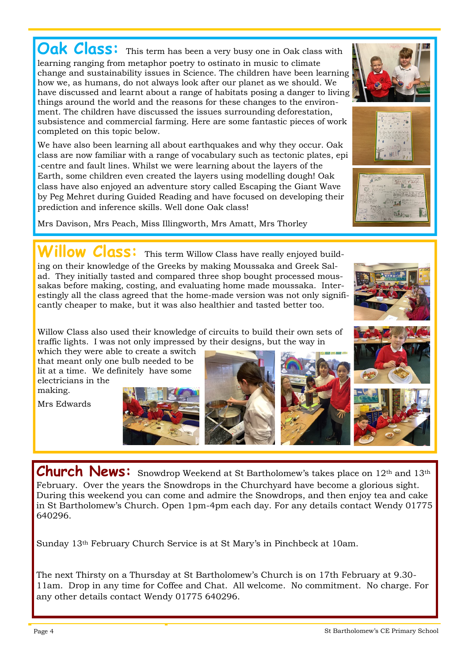**Oak Class:** This term has been a very busy one in Oak class with learning ranging from metaphor poetry to ostinato in music to climate change and sustainability issues in Science. The children have been learning how we, as humans, do not always look after our planet as we should. We have discussed and learnt about a range of habitats posing a danger to living things around the world and the reasons for these changes to the environment. The children have discussed the issues surrounding deforestation, subsistence and commercial farming. Here are some fantastic pieces of work completed on this topic below.

We have also been learning all about earthquakes and why they occur. Oak class are now familiar with a range of vocabulary such as tectonic plates, epi -centre and fault lines. Whilst we were learning about the layers of the Earth, some children even created the layers using modelling dough! Oak class have also enjoyed an adventure story called Escaping the Giant Wave by Peg Mehret during Guided Reading and have focused on developing their prediction and inference skills. Well done Oak class!

Mrs Davison, Mrs Peach, Miss Illingworth, Mrs Amatt, Mrs Thorley

## **illow Class:** This term Willow Class have really enjoyed build-

ing on their knowledge of the Greeks by making Moussaka and Greek Salad. They initially tasted and compared three shop bought processed moussakas before making, costing, and evaluating home made moussaka. Interestingly all the class agreed that the home-made version was not only significantly cheaper to make, but it was also healthier and tasted better too.

Willow Class also used their knowledge of circuits to build their own sets of traffic lights. I was not only impressed by their designs, but the way in

which they were able to create a switch that meant only one bulb needed to be lit at a time. We definitely have some electricians in the making.

Mrs Edwards













Church News: Snowdrop Weekend at St Bartholomew's takes place on 12<sup>th</sup> and 13<sup>th</sup> February. Over the years the Snowdrops in the Churchyard have become a glorious sight. During this weekend you can come and admire the Snowdrops, and then enjoy tea and cake in St Bartholomew's Church. Open 1pm-4pm each day. For any details contact Wendy 01775 640296.

Sunday 13th February Church Service is at St Mary's in Pinchbeck at 10am.

The next Thirsty on a Thursday at St Bartholomew's Church is on 17th February at 9.30- 11am. Drop in any time for Coffee and Chat. All welcome. No commitment. No charge. For any other details contact Wendy 01775 640296.



Kill missen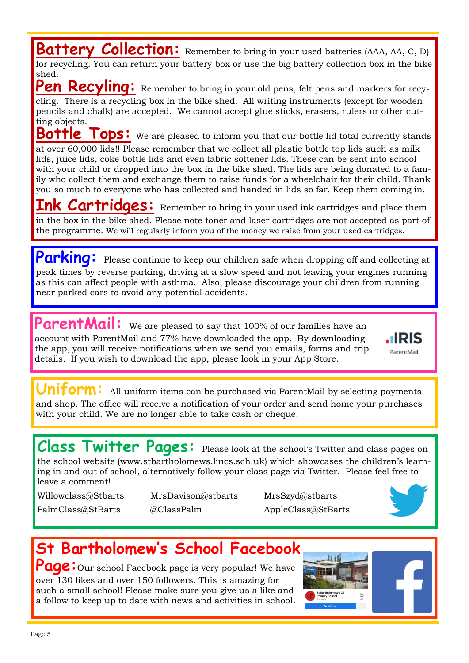**Battery Collection:** Remember to bring in your used batteries (AAA, AA, C, D) for recycling. You can return your battery box or use the big battery collection box in the bike shed.

Pen Recyling: Remember to bring in your old pens, felt pens and markers for recycling. There is a recycling box in the bike shed. All writing instruments (except for wooden pencils and chalk) are accepted. We cannot accept glue sticks, erasers, rulers or other cutting objects.

**Bottle Tops:** We are pleased to inform you that our bottle lid total currently stands at over 60,000 lids!! Please remember that we collect all plastic bottle top lids such as milk lids, juice lids, coke bottle lids and even fabric softener lids. These can be sent into school with your child or dropped into the box in the bike shed. The lids are being donated to a family who collect them and exchange them to raise funds for a wheelchair for their child. Thank you so much to everyone who has collected and handed in lids so far. Keep them coming in.

**Ink Cartridges:** Remember to bring in your used ink cartridges and place them in the box in the bike shed. Please note toner and laser cartridges are not accepted as part of the programme. We will regularly inform you of the money we raise from your used cartridges.

Parking: Please continue to keep our children safe when dropping off and collecting at peak times by reverse parking, driving at a slow speed and not leaving your engines running as this can affect people with asthma. Also, please discourage your children from running near parked cars to avoid any potential accidents.

ParentMail: We are pleased to say that 100% of our families have an account with ParentMail and 77% have downloaded the app. By downloading the app, you will receive notifications when we send you emails, forms and trip details. If you wish to download the app, please look in your App Store.



**Uniform:** All uniform items can be purchased via ParentMail by selecting payments and shop. The office will receive a notification of your order and send home your purchases with your child. We are no longer able to take cash or cheque.

**Class Twitter Pages:** Please look at the school's Twitter and class pages on the school website (www.stbartholomews.lincs.sch.uk) which showcases the children's learning in and out of school, alternatively follow your class page via Twitter. Please feel free to leave a comment!

Willowclass@Stbarts MrsDavison@stbarts MrsSzyd@stbarts

PalmClass@StBarts @ClassPalm AppleClass@StBarts



## **St Bartholomew's School Facebook**

**Page:** Our school Facebook page is very popular! We have over 130 likes and over 150 followers. This is amazing for such a small school! Please make sure you give us a like and a follow to keep up to date with news and activities in school.